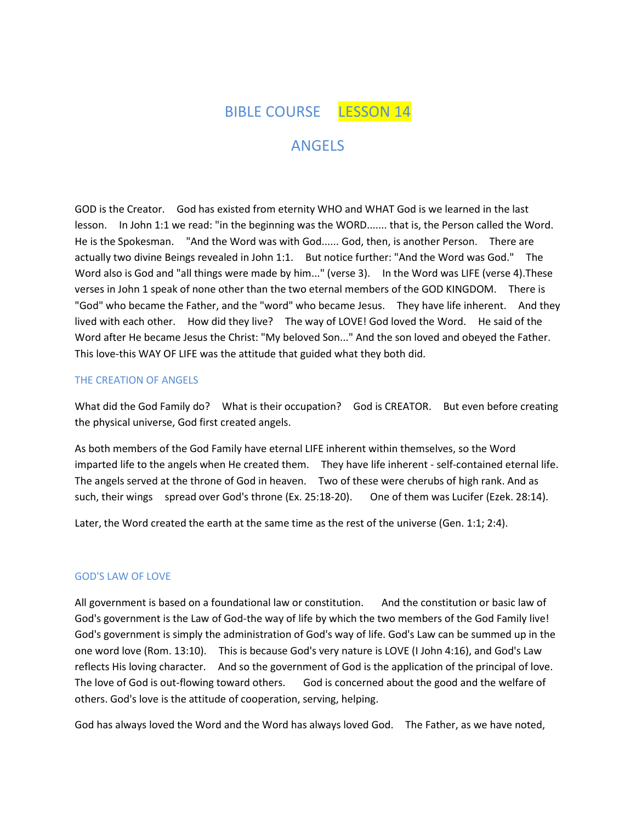BIBLE COURSE LESSON 14

# ANGELS

GOD is the Creator. God has existed from eternity WHO and WHAT God is we learned in the last lesson. In John 1:1 we read: "in the beginning was the WORD....... that is, the Person called the Word. He is the Spokesman. "And the Word was with God...... God, then, is another Person. There are actually two divine Beings revealed in John 1:1. But notice further: "And the Word was God." The Word also is God and "all things were made by him..." (verse 3). In the Word was LIFE (verse 4).These verses in John 1 speak of none other than the two eternal members of the GOD KINGDOM. There is "God" who became the Father, and the "word" who became Jesus. They have life inherent. And they lived with each other. How did they live? The way of LOVE! God loved the Word. He said of the Word after He became Jesus the Christ: "My beloved Son..." And the son loved and obeyed the Father. This love-this WAY OF LIFE was the attitude that guided what they both did.

### THE CREATION OF ANGELS

What did the God Family do? What is their occupation? God is CREATOR. But even before creating the physical universe, God first created angels.

As both members of the God Family have eternal LIFE inherent within themselves, so the Word imparted life to the angels when He created them. They have life inherent - self-contained eternal life. The angels served at the throne of God in heaven. Two of these were cherubs of high rank. And as such, their wings spread over God's throne (Ex. 25:18-20). One of them was Lucifer (Ezek. 28:14).

Later, the Word created the earth at the same time as the rest of the universe (Gen. 1:1; 2:4).

### GOD'S LAW OF LOVE

All government is based on a foundational law or constitution. And the constitution or basic law of God's government is the Law of God-the way of life by which the two members of the God Family live! God's government is simply the administration of God's way of life. God's Law can be summed up in the one word love (Rom. 13:10). This is because God's very nature is LOVE (I John 4:16), and God's Law reflects His loving character. And so the government of God is the application of the principal of love. The love of God is out-flowing toward others. God is concerned about the good and the welfare of others. God's love is the attitude of cooperation, serving, helping.

God has always loved the Word and the Word has always loved God. The Father, as we have noted,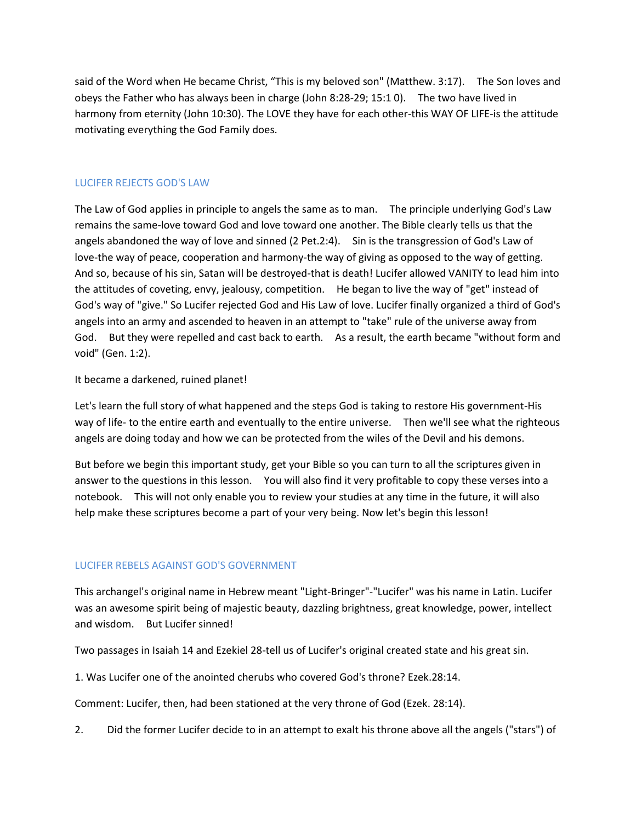said of the Word when He became Christ, "This is my beloved son" (Matthew. 3:17). The Son loves and obeys the Father who has always been in charge (John 8:28-29; 15:1 0). The two have lived in harmony from eternity (John 10:30). The LOVE they have for each other-this WAY OF LIFE-is the attitude motivating everything the God Family does.

# LUCIFER REJECTS GOD'S LAW

The Law of God applies in principle to angels the same as to man. The principle underlying God's Law remains the same-love toward God and love toward one another. The Bible clearly tells us that the angels abandoned the way of love and sinned (2 Pet.2:4). Sin is the transgression of God's Law of love-the way of peace, cooperation and harmony-the way of giving as opposed to the way of getting. And so, because of his sin, Satan will be destroyed-that is death! Lucifer allowed VANITY to lead him into the attitudes of coveting, envy, jealousy, competition. He began to live the way of "get" instead of God's way of "give." So Lucifer rejected God and His Law of love. Lucifer finally organized a third of God's angels into an army and ascended to heaven in an attempt to "take" rule of the universe away from God. But they were repelled and cast back to earth. As a result, the earth became "without form and void" (Gen. 1:2).

# It became a darkened, ruined planet!

Let's learn the full story of what happened and the steps God is taking to restore His government-His way of life- to the entire earth and eventually to the entire universe. Then we'll see what the righteous angels are doing today and how we can be protected from the wiles of the Devil and his demons.

But before we begin this important study, get your Bible so you can turn to all the scriptures given in answer to the questions in this lesson. You will also find it very profitable to copy these verses into a notebook. This will not only enable you to review your studies at any time in the future, it will also help make these scriptures become a part of your very being. Now let's begin this lesson!

# LUCIFER REBELS AGAINST GOD'S GOVERNMENT

This archangel's original name in Hebrew meant "Light-Bringer"-"Lucifer" was his name in Latin. Lucifer was an awesome spirit being of majestic beauty, dazzling brightness, great knowledge, power, intellect and wisdom. But Lucifer sinned!

Two passages in Isaiah 14 and Ezekiel 28-tell us of Lucifer's original created state and his great sin.

1. Was Lucifer one of the anointed cherubs who covered God's throne? Ezek.28:14.

Comment: Lucifer, then, had been stationed at the very throne of God (Ezek. 28:14).

2. Did the former Lucifer decide to in an attempt to exalt his throne above all the angels ("stars") of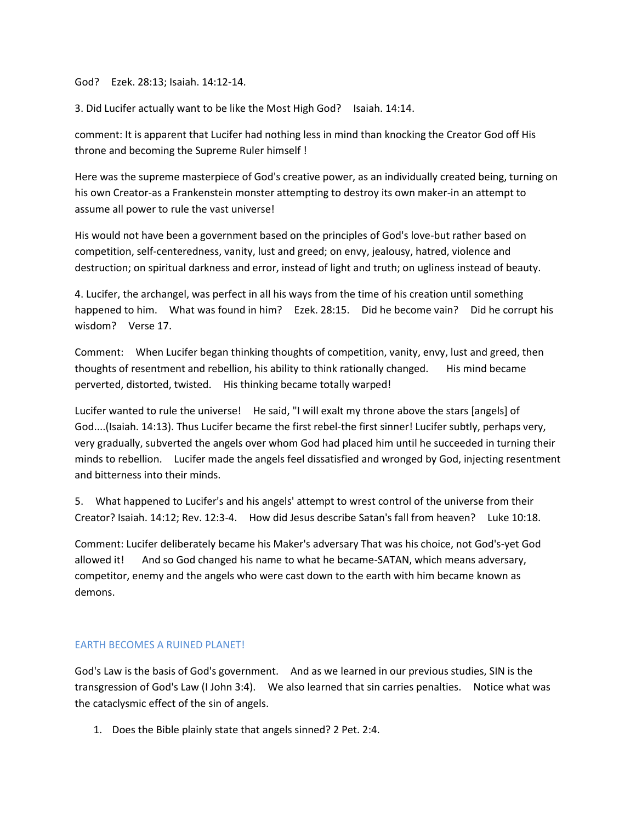God? Ezek. 28:13; Isaiah. 14:12-14.

3. Did Lucifer actually want to be like the Most High God? Isaiah. 14:14.

comment: It is apparent that Lucifer had nothing less in mind than knocking the Creator God off His throne and becoming the Supreme Ruler himself !

Here was the supreme masterpiece of God's creative power, as an individually created being, turning on his own Creator-as a Frankenstein monster attempting to destroy its own maker-in an attempt to assume all power to rule the vast universe!

His would not have been a government based on the principles of God's love-but rather based on competition, self-centeredness, vanity, lust and greed; on envy, jealousy, hatred, violence and destruction; on spiritual darkness and error, instead of light and truth; on ugliness instead of beauty.

4. Lucifer, the archangel, was perfect in all his ways from the time of his creation until something happened to him. What was found in him? Ezek. 28:15. Did he become vain? Did he corrupt his wisdom? Verse 17.

Comment: When Lucifer began thinking thoughts of competition, vanity, envy, lust and greed, then thoughts of resentment and rebellion, his ability to think rationally changed. His mind became perverted, distorted, twisted. His thinking became totally warped!

Lucifer wanted to rule the universe! He said, "I will exalt my throne above the stars [angels] of God....(Isaiah. 14:13). Thus Lucifer became the first rebel-the first sinner! Lucifer subtly, perhaps very, very gradually, subverted the angels over whom God had placed him until he succeeded in turning their minds to rebellion. Lucifer made the angels feel dissatisfied and wronged by God, injecting resentment and bitterness into their minds.

5. What happened to Lucifer's and his angels' attempt to wrest control of the universe from their Creator? Isaiah. 14:12; Rev. 12:3-4. How did Jesus describe Satan's fall from heaven? Luke 10:18.

Comment: Lucifer deliberately became his Maker's adversary That was his choice, not God's-yet God allowed it! And so God changed his name to what he became-SATAN, which means adversary, competitor, enemy and the angels who were cast down to the earth with him became known as demons.

### EARTH BECOMES A RUINED PLANET!

God's Law is the basis of God's government. And as we learned in our previous studies, SIN is the transgression of God's Law (I John 3:4). We also learned that sin carries penalties. Notice what was the cataclysmic effect of the sin of angels.

1. Does the Bible plainly state that angels sinned? 2 Pet. 2:4.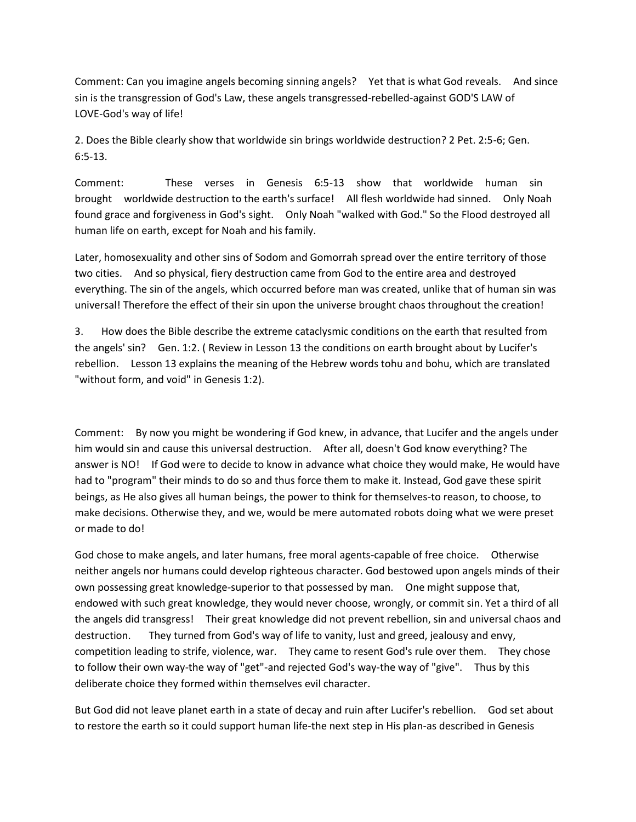Comment: Can you imagine angels becoming sinning angels? Yet that is what God reveals. And since sin is the transgression of God's Law, these angels transgressed-rebelled-against GOD'S LAW of LOVE-God's way of life!

2. Does the Bible clearly show that worldwide sin brings worldwide destruction? 2 Pet. 2:5-6; Gen. 6:5-13.

Comment: These verses in Genesis 6:5-13 show that worldwide human sin brought worldwide destruction to the earth's surface! All flesh worldwide had sinned. Only Noah found grace and forgiveness in God's sight. Only Noah "walked with God." So the Flood destroyed all human life on earth, except for Noah and his family.

Later, homosexuality and other sins of Sodom and Gomorrah spread over the entire territory of those two cities. And so physical, fiery destruction came from God to the entire area and destroyed everything. The sin of the angels, which occurred before man was created, unlike that of human sin was universal! Therefore the effect of their sin upon the universe brought chaos throughout the creation!

3. How does the Bible describe the extreme cataclysmic conditions on the earth that resulted from the angels' sin? Gen. 1:2. ( Review in Lesson 13 the conditions on earth brought about by Lucifer's rebellion. Lesson 13 explains the meaning of the Hebrew words tohu and bohu, which are translated "without form, and void" in Genesis 1:2).

Comment: By now you might be wondering if God knew, in advance, that Lucifer and the angels under him would sin and cause this universal destruction. After all, doesn't God know everything? The answer is NO! If God were to decide to know in advance what choice they would make, He would have had to "program" their minds to do so and thus force them to make it. Instead, God gave these spirit beings, as He also gives all human beings, the power to think for themselves-to reason, to choose, to make decisions. Otherwise they, and we, would be mere automated robots doing what we were preset or made to do!

God chose to make angels, and later humans, free moral agents-capable of free choice. Otherwise neither angels nor humans could develop righteous character. God bestowed upon angels minds of their own possessing great knowledge-superior to that possessed by man. One might suppose that, endowed with such great knowledge, they would never choose, wrongly, or commit sin. Yet a third of all the angels did transgress! Their great knowledge did not prevent rebellion, sin and universal chaos and destruction. They turned from God's way of life to vanity, lust and greed, jealousy and envy, competition leading to strife, violence, war. They came to resent God's rule over them. They chose to follow their own way-the way of "get"-and rejected God's way-the way of "give". Thus by this deliberate choice they formed within themselves evil character.

But God did not leave planet earth in a state of decay and ruin after Lucifer's rebellion. God set about to restore the earth so it could support human life-the next step in His plan-as described in Genesis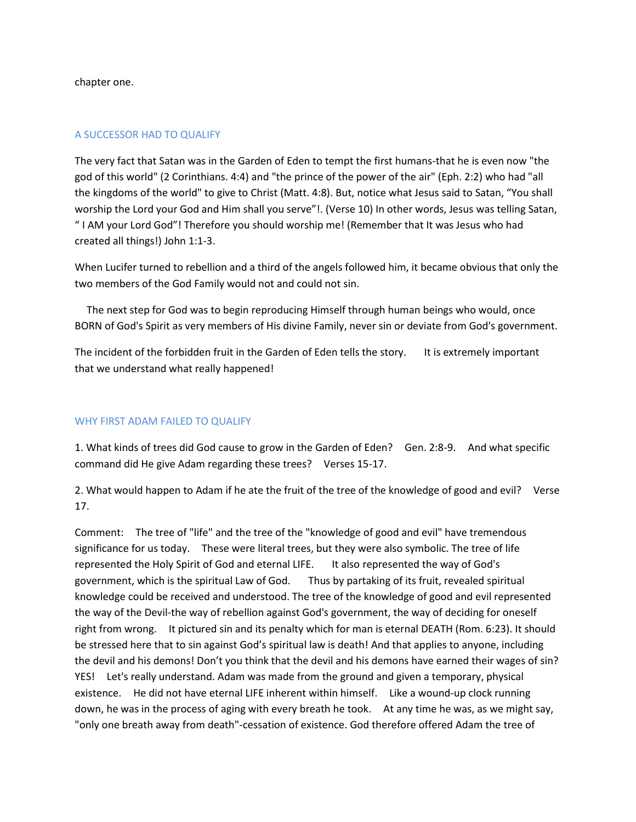chapter one.

#### A SUCCESSOR HAD TO QUALIFY

The very fact that Satan was in the Garden of Eden to tempt the first humans-that he is even now "the god of this world" (2 Corinthians. 4:4) and "the prince of the power of the air" (Eph. 2:2) who had "all the kingdoms of the world" to give to Christ (Matt. 4:8). But, notice what Jesus said to Satan, "You shall worship the Lord your God and Him shall you serve"!. (Verse 10) In other words, Jesus was telling Satan, " I AM your Lord God"! Therefore you should worship me! (Remember that It was Jesus who had created all things!) John 1:1-3.

When Lucifer turned to rebellion and a third of the angels followed him, it became obvious that only the two members of the God Family would not and could not sin.

 The next step for God was to begin reproducing Himself through human beings who would, once BORN of God's Spirit as very members of His divine Family, never sin or deviate from God's government.

The incident of the forbidden fruit in the Garden of Eden tells the story. It is extremely important that we understand what really happened!

#### WHY FIRST ADAM FAILED TO QUALIFY

1. What kinds of trees did God cause to grow in the Garden of Eden? Gen. 2:8-9. And what specific command did He give Adam regarding these trees? Verses 15-17.

2. What would happen to Adam if he ate the fruit of the tree of the knowledge of good and evil? Verse 17.

Comment: The tree of "life" and the tree of the "knowledge of good and evil" have tremendous significance for us today. These were literal trees, but they were also symbolic. The tree of life represented the Holy Spirit of God and eternal LIFE. It also represented the way of God's government, which is the spiritual Law of God. Thus by partaking of its fruit, revealed spiritual knowledge could be received and understood. The tree of the knowledge of good and evil represented the way of the Devil-the way of rebellion against God's government, the way of deciding for oneself right from wrong. It pictured sin and its penalty which for man is eternal DEATH (Rom. 6:23). It should be stressed here that to sin against God's spiritual law is death! And that applies to anyone, including the devil and his demons! Don't you think that the devil and his demons have earned their wages of sin? YES! Let's really understand. Adam was made from the ground and given a temporary, physical existence. He did not have eternal LIFE inherent within himself. Like a wound-up clock running down, he was in the process of aging with every breath he took. At any time he was, as we might say, "only one breath away from death"-cessation of existence. God therefore offered Adam the tree of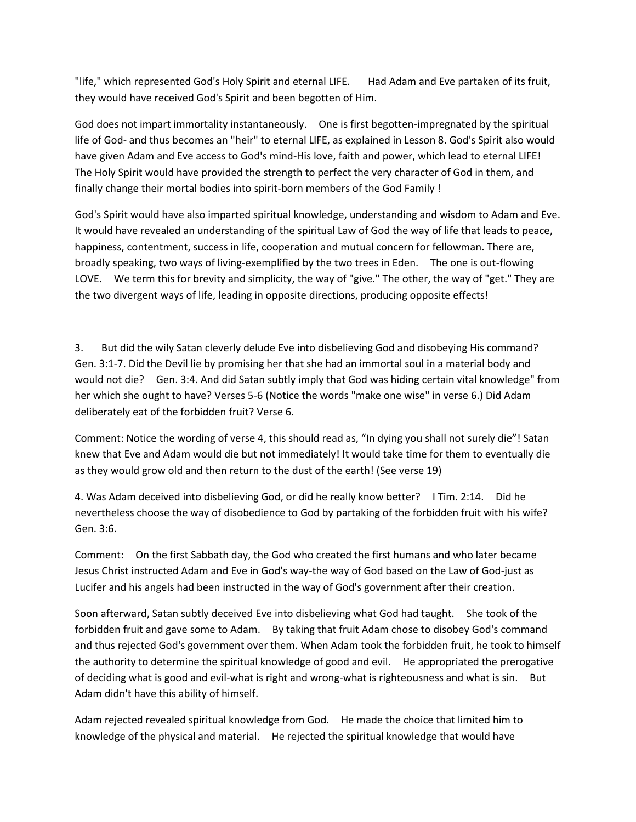"life," which represented God's Holy Spirit and eternal LIFE. Had Adam and Eve partaken of its fruit, they would have received God's Spirit and been begotten of Him.

God does not impart immortality instantaneously. One is first begotten-impregnated by the spiritual life of God- and thus becomes an "heir" to eternal LIFE, as explained in Lesson 8. God's Spirit also would have given Adam and Eve access to God's mind-His love, faith and power, which lead to eternal LIFE! The Holy Spirit would have provided the strength to perfect the very character of God in them, and finally change their mortal bodies into spirit-born members of the God Family !

God's Spirit would have also imparted spiritual knowledge, understanding and wisdom to Adam and Eve. It would have revealed an understanding of the spiritual Law of God the way of life that leads to peace, happiness, contentment, success in life, cooperation and mutual concern for fellowman. There are, broadly speaking, two ways of living-exemplified by the two trees in Eden. The one is out-flowing LOVE. We term this for brevity and simplicity, the way of "give." The other, the way of "get." They are the two divergent ways of life, leading in opposite directions, producing opposite effects!

3. But did the wily Satan cleverly delude Eve into disbelieving God and disobeying His command? Gen. 3:1-7. Did the Devil lie by promising her that she had an immortal soul in a material body and would not die? Gen. 3:4. And did Satan subtly imply that God was hiding certain vital knowledge" from her which she ought to have? Verses 5-6 (Notice the words "make one wise" in verse 6.) Did Adam deliberately eat of the forbidden fruit? Verse 6.

Comment: Notice the wording of verse 4, this should read as, "In dying you shall not surely die"! Satan knew that Eve and Adam would die but not immediately! It would take time for them to eventually die as they would grow old and then return to the dust of the earth! (See verse 19)

4. Was Adam deceived into disbelieving God, or did he really know better? I Tim. 2:14. Did he nevertheless choose the way of disobedience to God by partaking of the forbidden fruit with his wife? Gen. 3:6.

Comment: On the first Sabbath day, the God who created the first humans and who later became Jesus Christ instructed Adam and Eve in God's way-the way of God based on the Law of God-just as Lucifer and his angels had been instructed in the way of God's government after their creation.

Soon afterward, Satan subtly deceived Eve into disbelieving what God had taught. She took of the forbidden fruit and gave some to Adam. By taking that fruit Adam chose to disobey God's command and thus rejected God's government over them. When Adam took the forbidden fruit, he took to himself the authority to determine the spiritual knowledge of good and evil. He appropriated the prerogative of deciding what is good and evil-what is right and wrong-what is righteousness and what is sin. But Adam didn't have this ability of himself.

Adam rejected revealed spiritual knowledge from God. He made the choice that limited him to knowledge of the physical and material. He rejected the spiritual knowledge that would have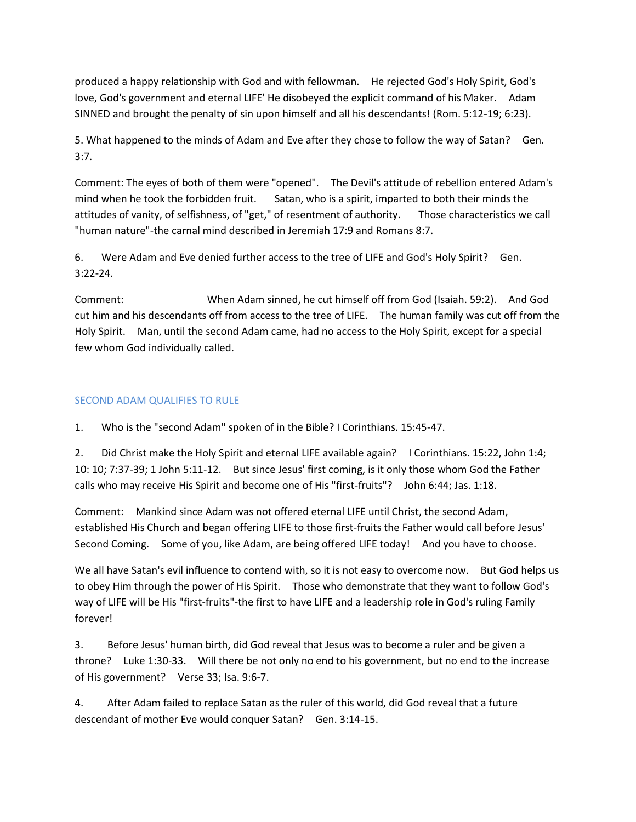produced a happy relationship with God and with fellowman. He rejected God's Holy Spirit, God's love, God's government and eternal LIFE' He disobeyed the explicit command of his Maker. Adam SINNED and brought the penalty of sin upon himself and all his descendants! (Rom. 5:12-19; 6:23).

5. What happened to the minds of Adam and Eve after they chose to follow the way of Satan? Gen. 3:7.

Comment: The eyes of both of them were "opened". The Devil's attitude of rebellion entered Adam's mind when he took the forbidden fruit. Satan, who is a spirit, imparted to both their minds the attitudes of vanity, of selfishness, of "get," of resentment of authority. Those characteristics we call "human nature"-the carnal mind described in Jeremiah 17:9 and Romans 8:7.

6. Were Adam and Eve denied further access to the tree of LIFE and God's Holy Spirit? Gen. 3:22-24.

Comment: When Adam sinned, he cut himself off from God (Isaiah. 59:2). And God cut him and his descendants off from access to the tree of LIFE. The human family was cut off from the Holy Spirit. Man, until the second Adam came, had no access to the Holy Spirit, except for a special few whom God individually called.

# SECOND ADAM QUALIFIES TO RULE

1. Who is the "second Adam" spoken of in the Bible? I Corinthians. 15:45-47.

2. Did Christ make the Holy Spirit and eternal LIFE available again? I Corinthians. 15:22, John 1:4; 10: 10; 7:37-39; 1 John 5:11-12. But since Jesus' first coming, is it only those whom God the Father calls who may receive His Spirit and become one of His "first-fruits"? John 6:44; Jas. 1:18.

Comment: Mankind since Adam was not offered eternal LIFE until Christ, the second Adam, established His Church and began offering LIFE to those first-fruits the Father would call before Jesus' Second Coming. Some of you, like Adam, are being offered LIFE today! And you have to choose.

We all have Satan's evil influence to contend with, so it is not easy to overcome now. But God helps us to obey Him through the power of His Spirit. Those who demonstrate that they want to follow God's way of LIFE will be His "first-fruits"-the first to have LIFE and a leadership role in God's ruling Family forever!

3. Before Jesus' human birth, did God reveal that Jesus was to become a ruler and be given a throne? Luke 1:30-33. Will there be not only no end to his government, but no end to the increase of His government? Verse 33; Isa. 9:6-7.

4. After Adam failed to replace Satan as the ruler of this world, did God reveal that a future descendant of mother Eve would conquer Satan? Gen. 3:14-15.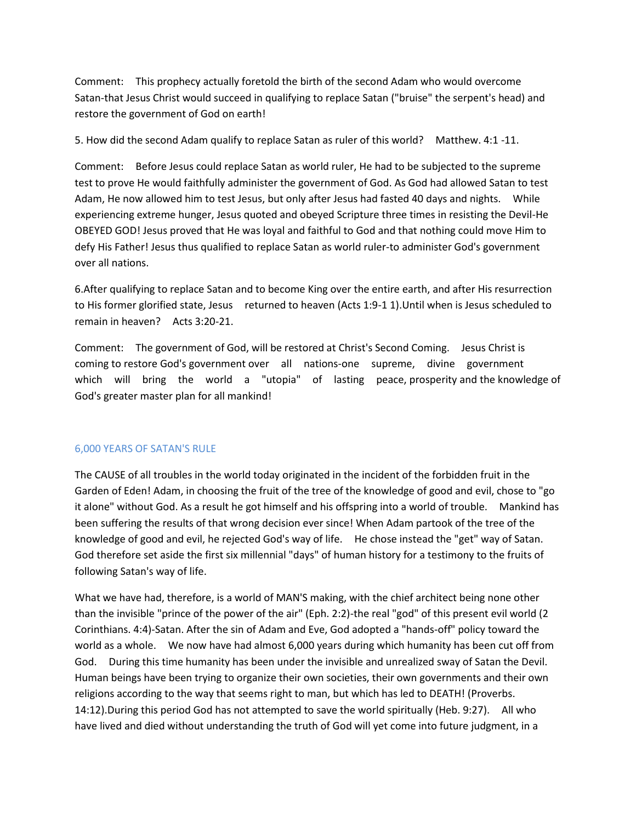Comment: This prophecy actually foretold the birth of the second Adam who would overcome Satan-that Jesus Christ would succeed in qualifying to replace Satan ("bruise" the serpent's head) and restore the government of God on earth!

5. How did the second Adam qualify to replace Satan as ruler of this world? Matthew. 4:1 -11.

Comment: Before Jesus could replace Satan as world ruler, He had to be subjected to the supreme test to prove He would faithfully administer the government of God. As God had allowed Satan to test Adam, He now allowed him to test Jesus, but only after Jesus had fasted 40 days and nights. While experiencing extreme hunger, Jesus quoted and obeyed Scripture three times in resisting the Devil-He OBEYED GOD! Jesus proved that He was loyal and faithful to God and that nothing could move Him to defy His Father! Jesus thus qualified to replace Satan as world ruler-to administer God's government over all nations.

6.After qualifying to replace Satan and to become King over the entire earth, and after His resurrection to His former glorified state, Jesus returned to heaven (Acts 1:9-1 1).Until when is Jesus scheduled to remain in heaven? Acts 3:20-21.

Comment: The government of God, will be restored at Christ's Second Coming. Jesus Christ is coming to restore God's government over all nations-one supreme, divine government which will bring the world a "utopia" of lasting peace, prosperity and the knowledge of God's greater master plan for all mankind!

### 6,000 YEARS OF SATAN'S RULE

The CAUSE of all troubles in the world today originated in the incident of the forbidden fruit in the Garden of Eden! Adam, in choosing the fruit of the tree of the knowledge of good and evil, chose to "go it alone" without God. As a result he got himself and his offspring into a world of trouble. Mankind has been suffering the results of that wrong decision ever since! When Adam partook of the tree of the knowledge of good and evil, he rejected God's way of life. He chose instead the "get" way of Satan. God therefore set aside the first six millennial "days" of human history for a testimony to the fruits of following Satan's way of life.

What we have had, therefore, is a world of MAN'S making, with the chief architect being none other than the invisible "prince of the power of the air" (Eph. 2:2)-the real "god" of this present evil world (2 Corinthians. 4:4)-Satan. After the sin of Adam and Eve, God adopted a "hands-off" policy toward the world as a whole. We now have had almost 6,000 years during which humanity has been cut off from God. During this time humanity has been under the invisible and unrealized sway of Satan the Devil. Human beings have been trying to organize their own societies, their own governments and their own religions according to the way that seems right to man, but which has led to DEATH! (Proverbs. 14:12).During this period God has not attempted to save the world spiritually (Heb. 9:27). All who have lived and died without understanding the truth of God will yet come into future judgment, in a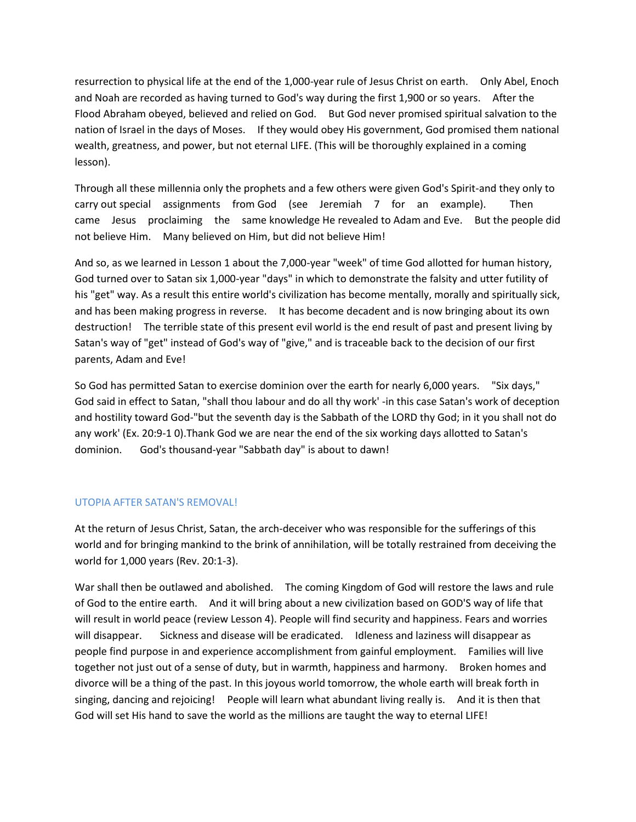resurrection to physical life at the end of the 1,000-year rule of Jesus Christ on earth. Only Abel, Enoch and Noah are recorded as having turned to God's way during the first 1,900 or so years. After the Flood Abraham obeyed, believed and relied on God. But God never promised spiritual salvation to the nation of Israel in the days of Moses. If they would obey His government, God promised them national wealth, greatness, and power, but not eternal LIFE. (This will be thoroughly explained in a coming lesson).

Through all these millennia only the prophets and a few others were given God's Spirit-and they only to carry out special assignments from God (see Jeremiah 7 for an example). Then came Jesus proclaiming the same knowledge He revealed to Adam and Eve. But the people did not believe Him. Many believed on Him, but did not believe Him!

And so, as we learned in Lesson 1 about the 7,000-year "week" of time God allotted for human history, God turned over to Satan six 1,000-year "days" in which to demonstrate the falsity and utter futility of his "get" way. As a result this entire world's civilization has become mentally, morally and spiritually sick, and has been making progress in reverse. It has become decadent and is now bringing about its own destruction! The terrible state of this present evil world is the end result of past and present living by Satan's way of "get" instead of God's way of "give," and is traceable back to the decision of our first parents, Adam and Eve!

So God has permitted Satan to exercise dominion over the earth for nearly 6,000 years. "Six days," God said in effect to Satan, "shall thou labour and do all thy work' -in this case Satan's work of deception and hostility toward God-"but the seventh day is the Sabbath of the LORD thy God; in it you shall not do any work' (Ex. 20:9-1 0).Thank God we are near the end of the six working days allotted to Satan's dominion. God's thousand-year "Sabbath day" is about to dawn!

### UTOPIA AFTER SATAN'S REMOVAL!

At the return of Jesus Christ, Satan, the arch-deceiver who was responsible for the sufferings of this world and for bringing mankind to the brink of annihilation, will be totally restrained from deceiving the world for 1,000 years (Rev. 20:1-3).

War shall then be outlawed and abolished. The coming Kingdom of God will restore the laws and rule of God to the entire earth. And it will bring about a new civilization based on GOD'S way of life that will result in world peace (review Lesson 4). People will find security and happiness. Fears and worries will disappear. Sickness and disease will be eradicated. Idleness and laziness will disappear as people find purpose in and experience accomplishment from gainful employment. Families will live together not just out of a sense of duty, but in warmth, happiness and harmony. Broken homes and divorce will be a thing of the past. In this joyous world tomorrow, the whole earth will break forth in singing, dancing and rejoicing! People will learn what abundant living really is. And it is then that God will set His hand to save the world as the millions are taught the way to eternal LIFE!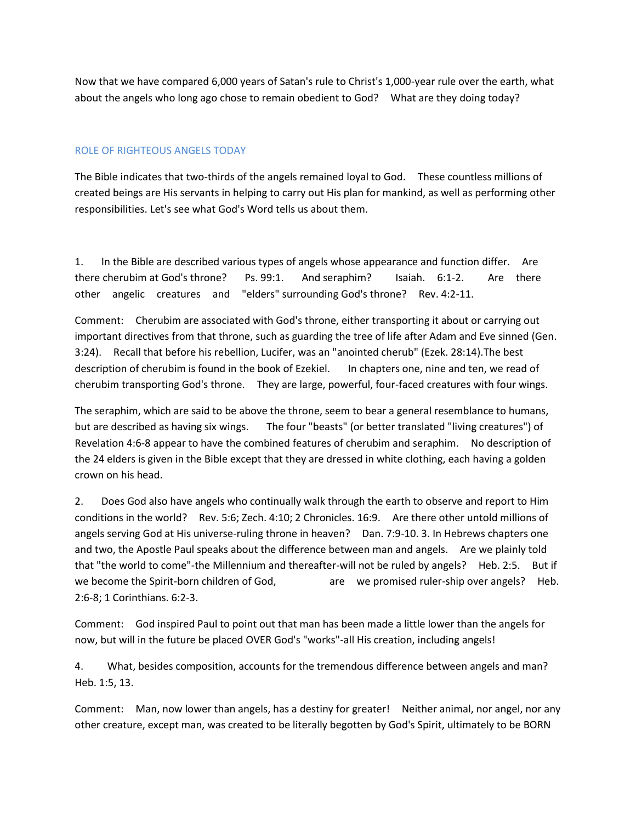Now that we have compared 6,000 years of Satan's rule to Christ's 1,000-year rule over the earth, what about the angels who long ago chose to remain obedient to God? What are they doing today?

# ROLE OF RIGHTEOUS ANGELS TODAY

The Bible indicates that two-thirds of the angels remained loyal to God. These countless millions of created beings are His servants in helping to carry out His plan for mankind, as well as performing other responsibilities. Let's see what God's Word tells us about them.

1. In the Bible are described various types of angels whose appearance and function differ. Are there cherubim at God's throne? Ps. 99:1. And seraphim? Isaiah. 6:1-2. Are there other angelic creatures and "elders" surrounding God's throne? Rev. 4:2-11.

Comment: Cherubim are associated with God's throne, either transporting it about or carrying out important directives from that throne, such as guarding the tree of life after Adam and Eve sinned (Gen. 3:24). Recall that before his rebellion, Lucifer, was an "anointed cherub" (Ezek. 28:14).The best description of cherubim is found in the book of Ezekiel. In chapters one, nine and ten, we read of cherubim transporting God's throne. They are large, powerful, four-faced creatures with four wings.

The seraphim, which are said to be above the throne, seem to bear a general resemblance to humans, but are described as having six wings. The four "beasts" (or better translated "living creatures") of Revelation 4:6-8 appear to have the combined features of cherubim and seraphim. No description of the 24 elders is given in the Bible except that they are dressed in white clothing, each having a golden crown on his head.

2. Does God also have angels who continually walk through the earth to observe and report to Him conditions in the world? Rev. 5:6; Zech. 4:10; 2 Chronicles. 16:9. Are there other untold millions of angels serving God at His universe-ruling throne in heaven? Dan. 7:9-10. 3. In Hebrews chapters one and two, the Apostle Paul speaks about the difference between man and angels. Are we plainly told that "the world to come"-the Millennium and thereafter-will not be ruled by angels? Heb. 2:5. But if we become the Spirit-born children of God, are we promised ruler-ship over angels? Heb. 2:6-8; 1 Corinthians. 6:2-3.

Comment: God inspired Paul to point out that man has been made a little lower than the angels for now, but will in the future be placed OVER God's "works"-all His creation, including angels!

4. What, besides composition, accounts for the tremendous difference between angels and man? Heb. 1:5, 13.

Comment: Man, now lower than angels, has a destiny for greater! Neither animal, nor angel, nor any other creature, except man, was created to be literally begotten by God's Spirit, ultimately to be BORN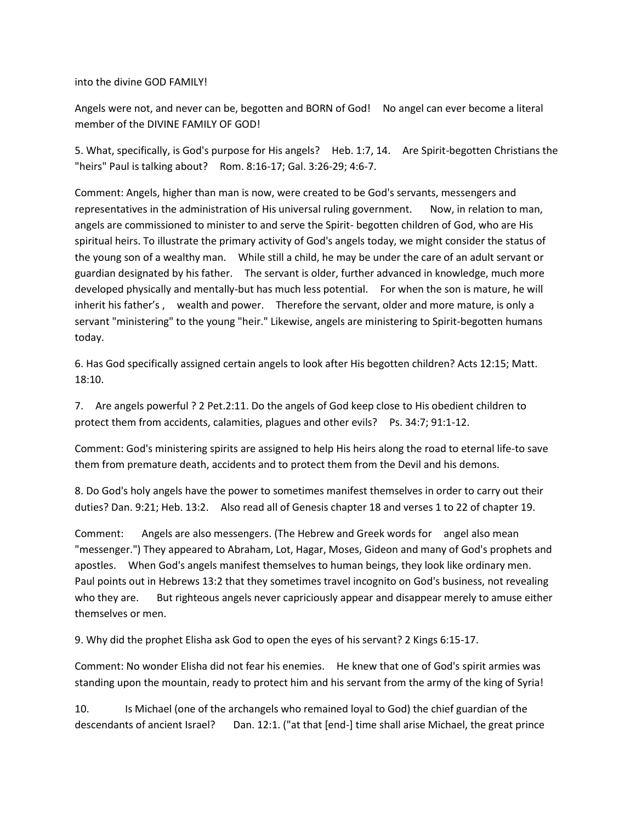into the divine GOD FAMILY!

Angels were not, and never can be, begotten and BORN of God! No angel can ever become a literal member of the DIVINE FAMILY OF GOD!

5. What, specifically, is God's purpose for His angels? Heb. 1:7, 14. Are Spirit-begotten Christians the "heirs" Paul is talking about? Rom. 8:16-17; Gal. 3:26-29; 4:6-7.

Comment: Angels, higher than man is now, were created to be God's servants, messengers and representatives in the administration of His universal ruling government. Now, in relation to man, angels are commissioned to minister to and serve the Spirit- begotten children of God, who are His spiritual heirs. To illustrate the primary activity of God's angels today, we might consider the status of the young son of a wealthy man. While still a child, he may be under the care of an adult servant or guardian designated by his father. The servant is older, further advanced in knowledge, much more developed physically and mentally-but has much less potential. For when the son is mature, he will inherit his father's , wealth and power. Therefore the servant, older and more mature, is only a servant "ministering" to the young "heir." Likewise, angels are ministering to Spirit-begotten humans today.

6. Has God specifically assigned certain angels to look after His begotten children? Acts 12:15; Matt. 18:10.

7. Are angels powerful ? 2 Pet.2:11. Do the angels of God keep close to His obedient children to protect them from accidents, calamities, plagues and other evils? Ps. 34:7; 91:1-12.

Comment: God's ministering spirits are assigned to help His heirs along the road to eternal life-to save them from premature death, accidents and to protect them from the Devil and his demons.

8. Do God's holy angels have the power to sometimes manifest themselves in order to carry out their duties? Dan. 9:21; Heb. 13:2. Also read all of Genesis chapter 18 and verses 1 to 22 of chapter 19.

Comment: Angels are also messengers. (The Hebrew and Greek words for angel also mean "messenger.") They appeared to Abraham, Lot, Hagar, Moses, Gideon and many of God's prophets and apostles. When God's angels manifest themselves to human beings, they look like ordinary men. Paul points out in Hebrews 13:2 that they sometimes travel incognito on God's business, not revealing who they are. But righteous angels never capriciously appear and disappear merely to amuse either themselves or men.

9. Why did the prophet Elisha ask God to open the eyes of his servant? 2 Kings 6:15-17.

Comment: No wonder Elisha did not fear his enemies. He knew that one of God's spirit armies was standing upon the mountain, ready to protect him and his servant from the army of the king of Syria!

10. Is Michael (one of the archangels who remained loyal to God) the chief guardian of the descendants of ancient Israel? Dan. 12:1. ("at that [end-] time shall arise Michael, the great prince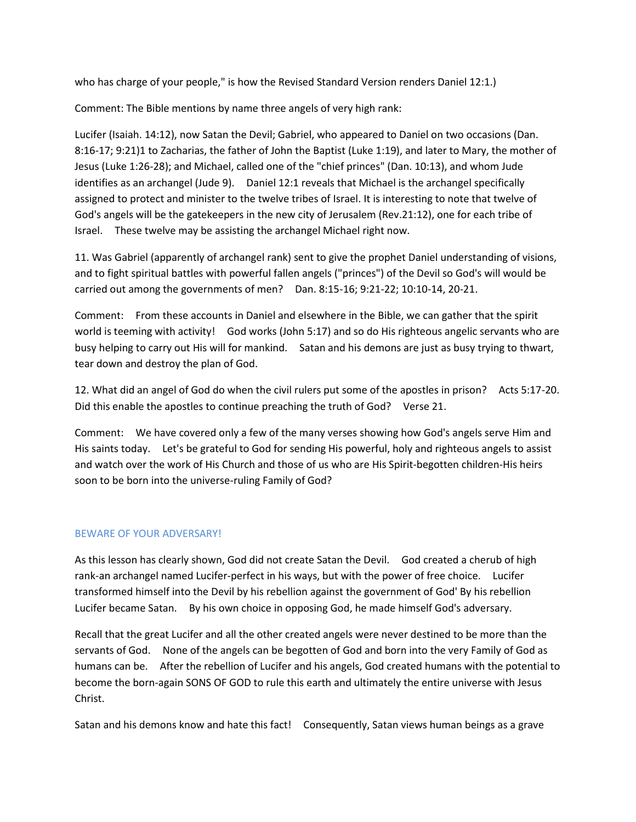who has charge of your people," is how the Revised Standard Version renders Daniel 12:1.)

Comment: The Bible mentions by name three angels of very high rank:

Lucifer (Isaiah. 14:12), now Satan the Devil; Gabriel, who appeared to Daniel on two occasions (Dan. 8:16-17; 9:21)1 to Zacharias, the father of John the Baptist (Luke 1:19), and later to Mary, the mother of Jesus (Luke 1:26-28); and Michael, called one of the "chief princes" (Dan. 10:13), and whom Jude identifies as an archangel (Jude 9). Daniel 12:1 reveals that Michael is the archangel specifically assigned to protect and minister to the twelve tribes of Israel. It is interesting to note that twelve of God's angels will be the gatekeepers in the new city of Jerusalem (Rev.21:12), one for each tribe of Israel. These twelve may be assisting the archangel Michael right now.

11. Was Gabriel (apparently of archangel rank) sent to give the prophet Daniel understanding of visions, and to fight spiritual battles with powerful fallen angels ("princes") of the Devil so God's will would be carried out among the governments of men? Dan. 8:15-16; 9:21-22; 10:10-14, 20-21.

Comment: From these accounts in Daniel and elsewhere in the Bible, we can gather that the spirit world is teeming with activity! God works (John 5:17) and so do His righteous angelic servants who are busy helping to carry out His will for mankind. Satan and his demons are just as busy trying to thwart, tear down and destroy the plan of God.

12. What did an angel of God do when the civil rulers put some of the apostles in prison? Acts 5:17-20. Did this enable the apostles to continue preaching the truth of God? Verse 21.

Comment: We have covered only a few of the many verses showing how God's angels serve Him and His saints today. Let's be grateful to God for sending His powerful, holy and righteous angels to assist and watch over the work of His Church and those of us who are His Spirit-begotten children-His heirs soon to be born into the universe-ruling Family of God?

# BEWARE OF YOUR ADVERSARY!

As this lesson has clearly shown, God did not create Satan the Devil. God created a cherub of high rank-an archangel named Lucifer-perfect in his ways, but with the power of free choice. Lucifer transformed himself into the Devil by his rebellion against the government of God' By his rebellion Lucifer became Satan. By his own choice in opposing God, he made himself God's adversary.

Recall that the great Lucifer and all the other created angels were never destined to be more than the servants of God. None of the angels can be begotten of God and born into the very Family of God as humans can be. After the rebellion of Lucifer and his angels, God created humans with the potential to become the born-again SONS OF GOD to rule this earth and ultimately the entire universe with Jesus Christ.

Satan and his demons know and hate this fact! Consequently, Satan views human beings as a grave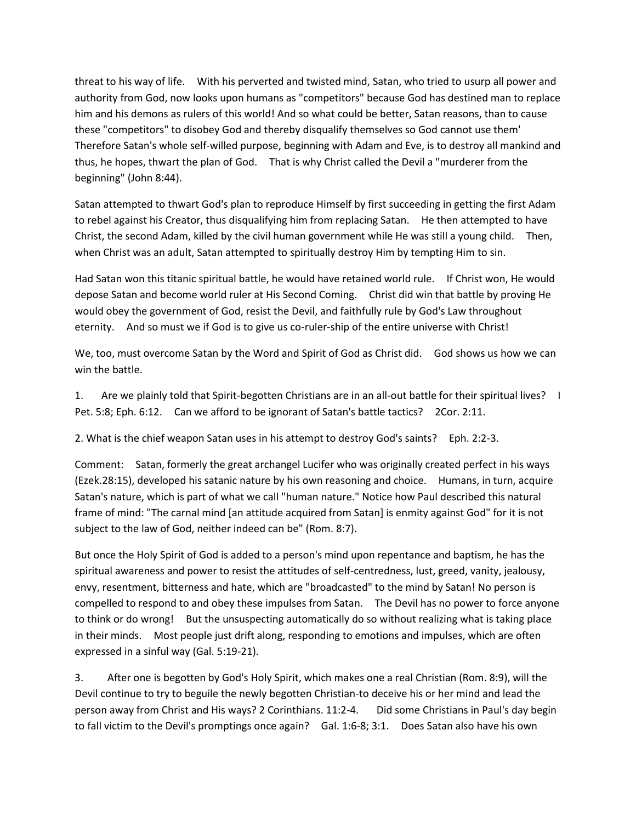threat to his way of life. With his perverted and twisted mind, Satan, who tried to usurp all power and authority from God, now looks upon humans as "competitors" because God has destined man to replace him and his demons as rulers of this world! And so what could be better, Satan reasons, than to cause these "competitors" to disobey God and thereby disqualify themselves so God cannot use them' Therefore Satan's whole self-willed purpose, beginning with Adam and Eve, is to destroy all mankind and thus, he hopes, thwart the plan of God. That is why Christ called the Devil a "murderer from the beginning" (John 8:44).

Satan attempted to thwart God's plan to reproduce Himself by first succeeding in getting the first Adam to rebel against his Creator, thus disqualifying him from replacing Satan. He then attempted to have Christ, the second Adam, killed by the civil human government while He was still a young child. Then, when Christ was an adult, Satan attempted to spiritually destroy Him by tempting Him to sin.

Had Satan won this titanic spiritual battle, he would have retained world rule. If Christ won, He would depose Satan and become world ruler at His Second Coming. Christ did win that battle by proving He would obey the government of God, resist the Devil, and faithfully rule by God's Law throughout eternity. And so must we if God is to give us co-ruler-ship of the entire universe with Christ!

We, too, must overcome Satan by the Word and Spirit of God as Christ did. God shows us how we can win the battle.

1. Are we plainly told that Spirit-begotten Christians are in an all-out battle for their spiritual lives? I Pet. 5:8; Eph. 6:12. Can we afford to be ignorant of Satan's battle tactics? 2Cor. 2:11.

2. What is the chief weapon Satan uses in his attempt to destroy God's saints? Eph. 2:2-3.

Comment: Satan, formerly the great archangel Lucifer who was originally created perfect in his ways (Ezek.28:15), developed his satanic nature by his own reasoning and choice. Humans, in turn, acquire Satan's nature, which is part of what we call "human nature." Notice how Paul described this natural frame of mind: "The carnal mind [an attitude acquired from Satan] is enmity against God" for it is not subject to the law of God, neither indeed can be" (Rom. 8:7).

But once the Holy Spirit of God is added to a person's mind upon repentance and baptism, he has the spiritual awareness and power to resist the attitudes of self-centredness, lust, greed, vanity, jealousy, envy, resentment, bitterness and hate, which are "broadcasted" to the mind by Satan! No person is compelled to respond to and obey these impulses from Satan. The Devil has no power to force anyone to think or do wrong! But the unsuspecting automatically do so without realizing what is taking place in their minds. Most people just drift along, responding to emotions and impulses, which are often expressed in a sinful way (Gal. 5:19-21).

3. After one is begotten by God's Holy Spirit, which makes one a real Christian (Rom. 8:9), will the Devil continue to try to beguile the newly begotten Christian-to deceive his or her mind and lead the person away from Christ and His ways? 2 Corinthians. 11:2-4. Did some Christians in Paul's day begin to fall victim to the Devil's promptings once again? Gal. 1:6-8; 3:1. Does Satan also have his own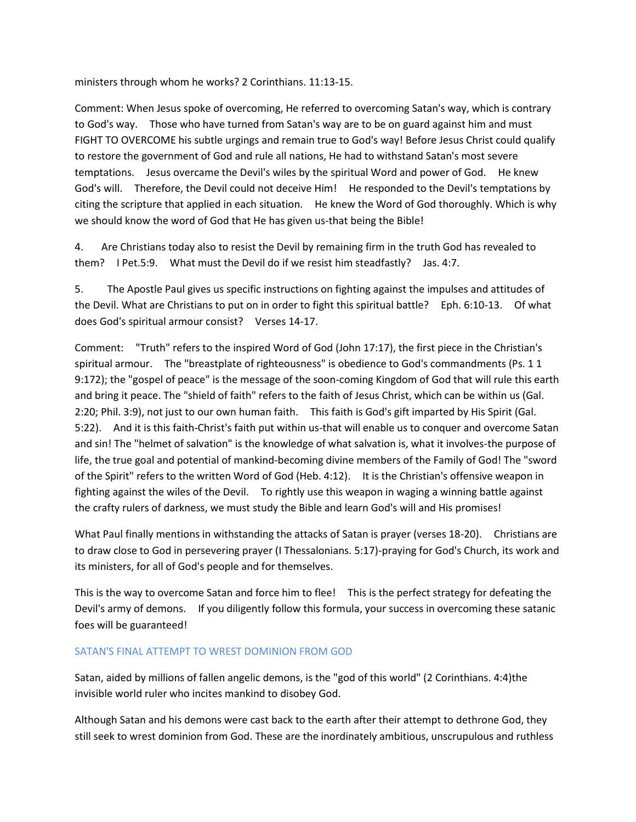ministers through whom he works? 2 Corinthians. 11:13-15.

Comment: When Jesus spoke of overcoming, He referred to overcoming Satan's way, which is contrary to God's way. Those who have turned from Satan's way are to be on guard against him and must FIGHT TO OVERCOME his subtle urgings and remain true to God's way! Before Jesus Christ could qualify to restore the government of God and rule all nations, He had to withstand Satan's most severe temptations. Jesus overcame the Devil's wiles by the spiritual Word and power of God. He knew God's will. Therefore, the Devil could not deceive Him! He responded to the Devil's temptations by citing the scripture that applied in each situation. He knew the Word of God thoroughly. Which is why we should know the word of God that He has given us-that being the Bible!

4. Are Christians today also to resist the Devil by remaining firm in the truth God has revealed to them? I Pet.5:9. What must the Devil do if we resist him steadfastly? Jas. 4:7.

5. The Apostle Paul gives us specific instructions on fighting against the impulses and attitudes of the Devil. What are Christians to put on in order to fight this spiritual battle? Eph. 6:10-13. Of what does God's spiritual armour consist? Verses 14-17.

Comment: "Truth" refers to the inspired Word of God (John 17:17), the first piece in the Christian's spiritual armour. The "breastplate of righteousness" is obedience to God's commandments (Ps. 1 1 9:172); the "gospel of peace" is the message of the soon-coming Kingdom of God that will rule this earth and bring it peace. The "shield of faith" refers to the faith of Jesus Christ, which can be within us (Gal. 2:20; Phil. 3:9), not just to our own human faith. This faith is God's gift imparted by His Spirit (Gal. 5:22). And it is this faith-Christ's faith put within us-that will enable us to conquer and overcome Satan and sin! The "helmet of salvation" is the knowledge of what salvation is, what it involves-the purpose of life, the true goal and potential of mankind-becoming divine members of the Family of God! The "sword of the Spirit" refers to the written Word of God (Heb. 4:12). It is the Christian's offensive weapon in fighting against the wiles of the Devil. To rightly use this weapon in waging a winning battle against the crafty rulers of darkness, we must study the Bible and learn God's will and His promises!

What Paul finally mentions in withstanding the attacks of Satan is prayer (verses 18-20). Christians are to draw close to God in persevering prayer (I Thessalonians. 5:17)-praying for God's Church, its work and its ministers, for all of God's people and for themselves.

This is the way to overcome Satan and force him to flee! This is the perfect strategy for defeating the Devil's army of demons. If you diligently follow this formula, your success in overcoming these satanic foes will be guaranteed!

### SATAN'S FINAL ATTEMPT TO WREST DOMINION FROM GOD

Satan, aided by millions of fallen angelic demons, is the "god of this world" (2 Corinthians. 4:4)the invisible world ruler who incites mankind to disobey God.

Although Satan and his demons were cast back to the earth after their attempt to dethrone God, they still seek to wrest dominion from God. These are the inordinately ambitious, unscrupulous and ruthless